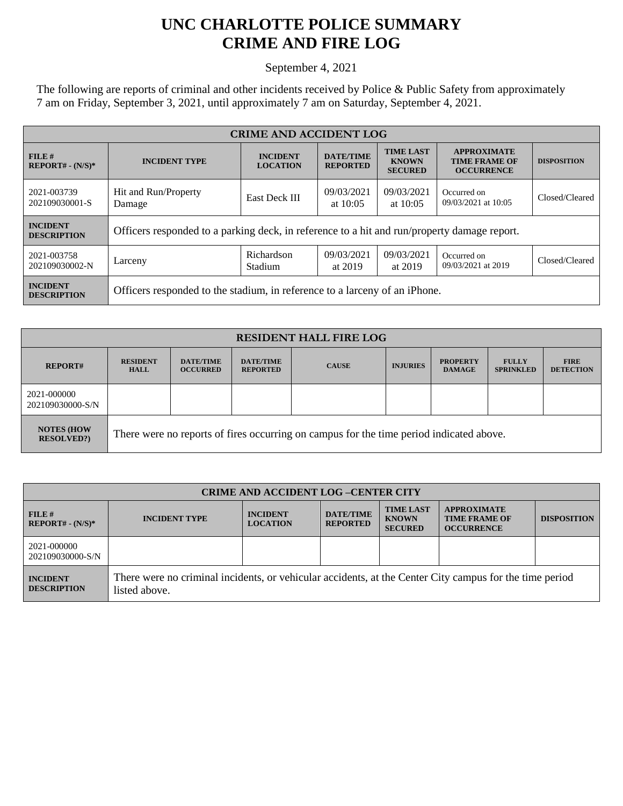## **UNC CHARLOTTE POLICE SUMMARY CRIME AND FIRE LOG**

September 4, 2021

The following are reports of criminal and other incidents received by Police & Public Safety from approximately 7 am on Friday, September 3, 2021, until approximately 7 am on Saturday, September 4, 2021.

| <b>CRIME AND ACCIDENT LOG</b>         |                                                                                                                                                                              |                       |                                            |                          |                                    |                |  |
|---------------------------------------|------------------------------------------------------------------------------------------------------------------------------------------------------------------------------|-----------------------|--------------------------------------------|--------------------------|------------------------------------|----------------|--|
| FILE#<br>$REPORT# - (N/S)*$           | <b>TIME LAST</b><br><b>DATE/TIME</b><br><b>INCIDENT</b><br><b>INCIDENT TYPE</b><br><b>KNOWN</b><br><b>LOCATION</b><br><b>REPORTED</b><br><b>OCCURRENCE</b><br><b>SECURED</b> |                       | <b>APPROXIMATE</b><br><b>TIME FRAME OF</b> | <b>DISPOSITION</b>       |                                    |                |  |
| 2021-003739<br>202109030001-S         | Hit and Run/Property<br>Damage                                                                                                                                               | East Deck III         | 09/03/2021<br>at $10:05$                   | 09/03/2021<br>at $10:05$ | Occurred on<br>09/03/2021 at 10:05 | Closed/Cleared |  |
| <b>INCIDENT</b><br><b>DESCRIPTION</b> | Officers responded to a parking deck, in reference to a hit and run/property damage report.                                                                                  |                       |                                            |                          |                                    |                |  |
| 2021-003758<br>202109030002-N         | Larceny                                                                                                                                                                      | Richardson<br>Stadium | 09/03/2021<br>at 2019                      | 09/03/2021<br>at 2019    | Occurred on<br>09/03/2021 at 2019  | Closed/Cleared |  |
| <b>INCIDENT</b><br><b>DESCRIPTION</b> | Officers responded to the stadium, in reference to a larceny of an iPhone.                                                                                                   |                       |                                            |                          |                                    |                |  |

| <b>RESIDENT HALL FIRE LOG</b>           |                                                                                         |                                     |                                     |              |                 |                                  |                                  |                                 |
|-----------------------------------------|-----------------------------------------------------------------------------------------|-------------------------------------|-------------------------------------|--------------|-----------------|----------------------------------|----------------------------------|---------------------------------|
| <b>REPORT#</b>                          | <b>RESIDENT</b><br><b>HALL</b>                                                          | <b>DATE/TIME</b><br><b>OCCURRED</b> | <b>DATE/TIME</b><br><b>REPORTED</b> | <b>CAUSE</b> | <b>INJURIES</b> | <b>PROPERTY</b><br><b>DAMAGE</b> | <b>FULLY</b><br><b>SPRINKLED</b> | <b>FIRE</b><br><b>DETECTION</b> |
| 2021-000000<br>202109030000-S/N         |                                                                                         |                                     |                                     |              |                 |                                  |                                  |                                 |
| <b>NOTES (HOW)</b><br><b>RESOLVED?)</b> | There were no reports of fires occurring on campus for the time period indicated above. |                                     |                                     |              |                 |                                  |                                  |                                 |

| <b>CRIME AND ACCIDENT LOG -CENTER CITY</b> |                                                                                                                          |                                    |                                     |                                                    |                                                                 |                    |  |
|--------------------------------------------|--------------------------------------------------------------------------------------------------------------------------|------------------------------------|-------------------------------------|----------------------------------------------------|-----------------------------------------------------------------|--------------------|--|
| FILE H<br>$REPORT# - (N/S)*$               | <b>INCIDENT TYPE</b>                                                                                                     | <b>INCIDENT</b><br><b>LOCATION</b> | <b>DATE/TIME</b><br><b>REPORTED</b> | <b>TIME LAST</b><br><b>KNOWN</b><br><b>SECURED</b> | <b>APPROXIMATE</b><br><b>TIME FRAME OF</b><br><b>OCCURRENCE</b> | <b>DISPOSITION</b> |  |
| 2021-000000<br>202109030000-S/N            |                                                                                                                          |                                    |                                     |                                                    |                                                                 |                    |  |
| <b>INCIDENT</b><br><b>DESCRIPTION</b>      | There were no criminal incidents, or vehicular accidents, at the Center City campus for the time period<br>listed above. |                                    |                                     |                                                    |                                                                 |                    |  |